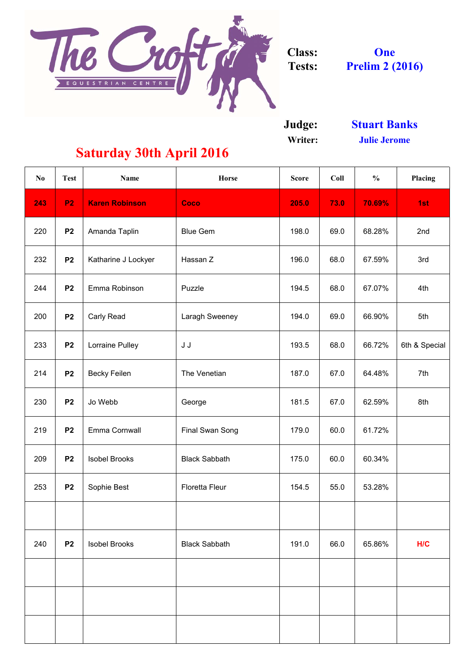

**Judge:**

**Writer:**

| $\mathbf{N}\mathbf{0}$ | <b>Test</b>    | <b>Name</b>            | <b>Horse</b>           | <b>Score</b> | Coll | $\frac{0}{0}$ | Placing       |
|------------------------|----------------|------------------------|------------------------|--------------|------|---------------|---------------|
| 243                    | P <sub>2</sub> | <b>Karen Robinson</b>  | Coco                   | 205.0        | 73.0 | 70.69%        | 1st           |
| 220                    | P <sub>2</sub> | Amanda Taplin          | <b>Blue Gem</b>        | 198.0        | 69.0 | 68.28%        | 2nd           |
| 232                    | <b>P2</b>      | Katharine J Lockyer    | Hassan Z               | 196.0        | 68.0 | 67.59%        | 3rd           |
| 244                    | P <sub>2</sub> | Emma Robinson          | Puzzle                 | 194.5        | 68.0 | 67.07%        | 4th           |
| 200                    | P <sub>2</sub> | <b>Carly Read</b>      | Laragh Sweeney         | 194.0        | 69.0 | 66.90%        | 5th           |
| 233                    | P <sub>2</sub> | <b>Lorraine Pulley</b> | J J                    | 193.5        | 68.0 | 66.72%        | 6th & Special |
| 214                    | P <sub>2</sub> | <b>Becky Feilen</b>    | The Venetian           | 187.0        | 67.0 | 64.48%        | 7th           |
| 230                    | <b>P2</b>      | Jo Webb                | George                 | 181.5        | 67.0 | 62.59%        | 8th           |
| 219                    | P <sub>2</sub> | Emma Cornwall          | <b>Final Swan Song</b> | 179.0        | 60.0 | 61.72%        |               |
| 209                    | P <sub>2</sub> | <b>Isobel Brooks</b>   | <b>Black Sabbath</b>   | 175.0        | 60.0 | 60.34%        |               |
| 253                    | P <sub>2</sub> | Sophie Best            | <b>Floretta Fleur</b>  | 154.5        | 55.0 | 53.28%        |               |
|                        |                |                        |                        |              |      |               |               |
| 240                    | P <sub>2</sub> | <b>Isobel Brooks</b>   | <b>Black Sabbath</b>   | 191.0        | 66.0 | 65.86%        | H/C           |
|                        |                |                        |                        |              |      |               |               |
|                        |                |                        |                        |              |      |               |               |
|                        |                |                        |                        |              |      |               |               |

**One Prelim 2 (2016)**

## **Saturday 30th April 2016**

**Julie Jerome Stuart Banks**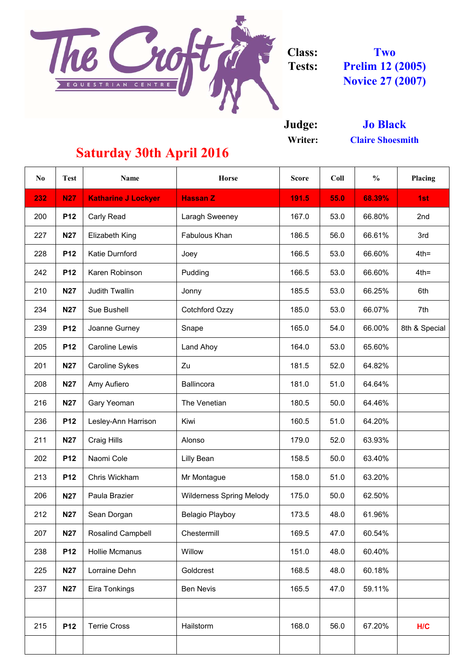

**Judge:**

**Writer:**

| N <sub>0</sub> | <b>Test</b> | <b>Name</b>                | <b>Horse</b>                    | <b>Score</b> | Coll | $\frac{0}{0}$ | <b>Placing</b> |
|----------------|-------------|----------------------------|---------------------------------|--------------|------|---------------|----------------|
| 232            | <b>N27</b>  | <b>Katharine J Lockyer</b> | <b>Hassan Z</b>                 | 191.5        | 55.0 | 68.39%        | 1st            |
| 200            | <b>P12</b>  | <b>Carly Read</b>          | <b>Laragh Sweeney</b>           | 167.0        | 53.0 | 66.80%        | 2nd            |
| 227            | <b>N27</b>  | <b>Elizabeth King</b>      | Fabulous Khan                   | 186.5        | 56.0 | 66.61%        | 3rd            |
| 228            | <b>P12</b>  | Katie Durnford             | Joey                            | 166.5        | 53.0 | 66.60%        | $4th =$        |
| 242            | <b>P12</b>  | Karen Robinson             | Pudding                         | 166.5        | 53.0 | 66.60%        | $4th =$        |
| 210            | <b>N27</b>  | <b>Judith Twallin</b>      | Jonny                           | 185.5        | 53.0 | 66.25%        | 6th            |
| 234            | <b>N27</b>  | <b>Sue Bushell</b>         | <b>Cotchford Ozzy</b>           | 185.0        | 53.0 | 66.07%        | 7th            |
| 239            | <b>P12</b>  | Joanne Gurney              | Snape                           | 165.0        | 54.0 | 66.00%        | 8th & Special  |
| 205            | <b>P12</b>  | <b>Caroline Lewis</b>      | Land Ahoy                       | 164.0        | 53.0 | 65.60%        |                |
| 201            | <b>N27</b>  | <b>Caroline Sykes</b>      | Zu                              | 181.5        | 52.0 | 64.82%        |                |
| 208            | <b>N27</b>  | Amy Aufiero                | <b>Ballincora</b>               | 181.0        | 51.0 | 64.64%        |                |
| 216            | <b>N27</b>  | <b>Gary Yeoman</b>         | The Venetian                    | 180.5        | 50.0 | 64.46%        |                |
| 236            | <b>P12</b>  | Lesley-Ann Harrison        | Kiwi                            | 160.5        | 51.0 | 64.20%        |                |
| 211            | <b>N27</b>  | <b>Craig Hills</b>         | Alonso                          | 179.0        | 52.0 | 63.93%        |                |
| 202            | <b>P12</b>  | Naomi Cole                 | <b>Lilly Bean</b>               | 158.5        | 50.0 | 63.40%        |                |
| 213            | <b>P12</b>  | Chris Wickham              | Mr Montague                     | 158.0        | 51.0 | 63.20%        |                |
| 206            | <b>N27</b>  | Paula Brazier              | <b>Wilderness Spring Melody</b> | 175.0        | 50.0 | 62.50%        |                |
| 212            | <b>N27</b>  | Sean Dorgan                | <b>Belagio Playboy</b>          | 173.5        | 48.0 | 61.96%        |                |
| 207            | <b>N27</b>  | <b>Rosalind Campbell</b>   | Chestermill                     | 169.5        | 47.0 | 60.54%        |                |
| 238            | <b>P12</b>  | <b>Hollie Mcmanus</b>      | Willow                          | 151.0        | 48.0 | 60.40%        |                |
| 225            | <b>N27</b>  | Lorraine Dehn              | Goldcrest                       | 168.5        | 48.0 | 60.18%        |                |
| 237            | <b>N27</b>  | Eira Tonkings              | <b>Ben Nevis</b>                | 165.5        | 47.0 | 59.11%        |                |
| 215            | <b>P12</b>  | <b>Terrie Cross</b>        | Hailstorm                       | 168.0        | 56.0 | 67.20%        | H/C            |

**Prelim 12 (2005) Novice 27 (2007) Two**

## **Saturday 30th April 2016**

**Claire Shoesmith Jo Black**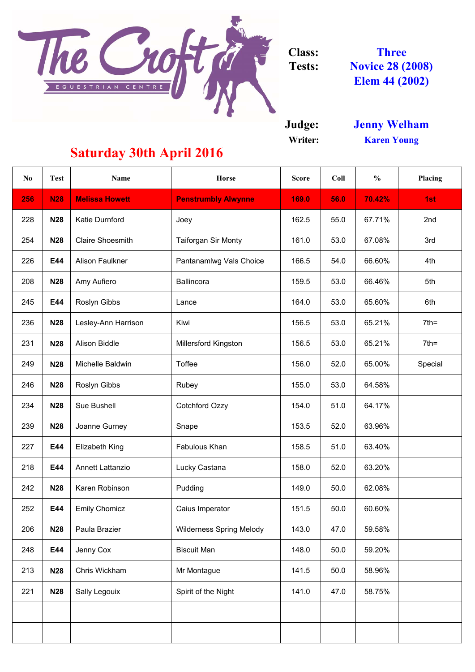

**Judge:**

**Writer:**

| N <sub>0</sub> | <b>Test</b> | <b>Name</b>             | <b>Horse</b>                    | <b>Score</b> | Coll | $\frac{0}{0}$ | Placing |
|----------------|-------------|-------------------------|---------------------------------|--------------|------|---------------|---------|
| 256            | <b>N28</b>  | <b>Melissa Howett</b>   | <b>Penstrumbly Alwynne</b>      | 169.0        | 56.0 | 70.42%        | 1st     |
| 228            | <b>N28</b>  | <b>Katie Durnford</b>   | Joey                            | 162.5        | 55.0 | 67.71%        | 2nd     |
| 254            | <b>N28</b>  | <b>Claire Shoesmith</b> | <b>Taiforgan Sir Monty</b>      | 161.0        | 53.0 | 67.08%        | 3rd     |
| 226            | E44         | <b>Alison Faulkner</b>  | Pantanamlwg Vals Choice         | 166.5        | 54.0 | 66.60%        | 4th     |
| 208            | <b>N28</b>  | Amy Aufiero             | <b>Ballincora</b>               | 159.5        | 53.0 | 66.46%        | 5th     |
| 245            | E44         | <b>Roslyn Gibbs</b>     | Lance                           | 164.0        | 53.0 | 65.60%        | 6th     |
| 236            | <b>N28</b>  | Lesley-Ann Harrison     | Kiwi                            | 156.5        | 53.0 | 65.21%        | $7th =$ |
| 231            | <b>N28</b>  | <b>Alison Biddle</b>    | <b>Millersford Kingston</b>     | 156.5        | 53.0 | 65.21%        | $7th =$ |
| 249            | <b>N28</b>  | Michelle Baldwin        | <b>Toffee</b>                   | 156.0        | 52.0 | 65.00%        | Special |
| 246            | <b>N28</b>  | <b>Roslyn Gibbs</b>     | Rubey                           | 155.0        | 53.0 | 64.58%        |         |
| 234            | <b>N28</b>  | <b>Sue Bushell</b>      | <b>Cotchford Ozzy</b>           | 154.0        | 51.0 | 64.17%        |         |
| 239            | <b>N28</b>  | Joanne Gurney           | Snape                           | 153.5        | 52.0 | 63.96%        |         |
| 227            | E44         | <b>Elizabeth King</b>   | Fabulous Khan                   | 158.5        | 51.0 | 63.40%        |         |
| 218            | E44         | Annett Lattanzio        | Lucky Castana                   | 158.0        | 52.0 | 63.20%        |         |
| 242            | <b>N28</b>  | Karen Robinson          | Pudding                         | 149.0        | 50.0 | 62.08%        |         |
| 252            | E44         | <b>Emily Chomicz</b>    | Caius Imperator                 | 151.5        | 50.0 | 60.60%        |         |
| 206            | <b>N28</b>  | Paula Brazier           | <b>Wilderness Spring Melody</b> | 143.0        | 47.0 | 59.58%        |         |
| 248            | E44         | Jenny Cox               | <b>Biscuit Man</b>              | 148.0        | 50.0 | 59.20%        |         |
| 213            | <b>N28</b>  | Chris Wickham           | Mr Montague                     | 141.5        | 50.0 | 58.96%        |         |
| 221            | <b>N28</b>  | <b>Sally Legouix</b>    | Spirit of the Night             | 141.0        | 47.0 | 58.75%        |         |
|                |             |                         |                                 |              |      |               |         |
|                |             |                         |                                 |              |      |               |         |

**Jenny Welham Karen Young**

## **Saturday 30th April 2016**

**Three Novice 28 (2008) Elem 44 (2002)**